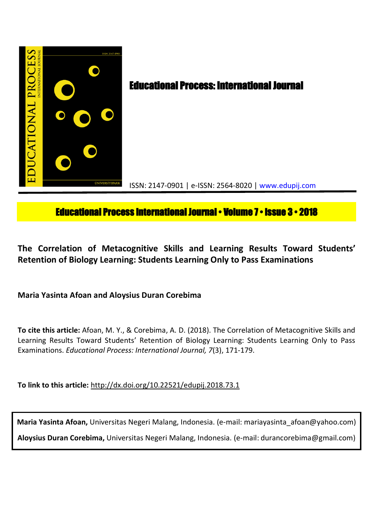

# **Educational Process International Journal • Volume 7 • Issue 3 • 2018**

**The Correlation of Metacognitive Skills and Learning Results Toward Students' Retention of Biology Learning: Students Learning Only to Pass Examinations**

**Maria Yasinta Afoan and Aloysius Duran Corebima**

**To cite this article:** Afoan, M. Y., & Corebima, A. D. (2018). The Correlation of Metacognitive Skills and Learning Results Toward Students' Retention of Biology Learning: Students Learning Only to Pass Examinations. *Educational Process: International Journal, 7*(3), 171-179.

**To link to this article:** http://dx.doi.org/10.22521/edupij.2018.73.1

**Maria Yasinta Afoan,** Universitas Negeri Malang, Indonesia. (e-mail: mariayasinta\_afoan@yahoo.com) **Aloysius Duran Corebima,** Universitas Negeri Malang, Indonesia. (e-mail: durancorebima@gmail.com)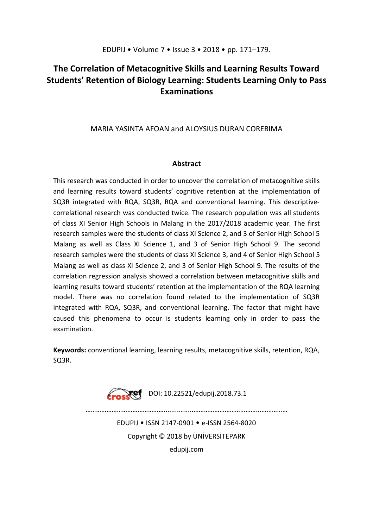# **The Correlation of Metacognitive Skills and Learning Results Toward Students' Retention of Biology Learning: Students Learning Only to Pass Examinations**

# MARIA YASINTA AFOAN and ALOYSIUS DURAN COREBIMA

## **Abstract**

This research was conducted in order to uncover the correlation of metacognitive skills and learning results toward students' cognitive retention at the implementation of SQ3R integrated with RQA, SQ3R, RQA and conventional learning. This descriptivecorrelational research was conducted twice. The research population was all students of class XI Senior High Schools in Malang in the 2017/2018 academic year. The first research samples were the students of class XI Science 2, and 3 of Senior High School 5 Malang as well as Class XI Science 1, and 3 of Senior High School 9. The second research samples were the students of class XI Science 3, and 4 of Senior High School 5 Malang as well as class XI Science 2, and 3 of Senior High School 9. The results of the correlation regression analysis showed a correlation between metacognitive skills and learning results toward students' retention at the implementation of the RQA learning model. There was no correlation found related to the implementation of SQ3R integrated with RQA, SQ3R, and conventional learning. The factor that might have caused this phenomena to occur is students learning only in order to pass the examination.

**Keywords:** conventional learning, learning results, metacognitive skills, retention, RQA, SQ3R.



………………………………………........….....………………………………...……………

EDUPIJ • ISSN 2147-0901 • e-ISSN 2564-8020 Copyright © 2018 by ÜNİVERSİTEPARK edupij.com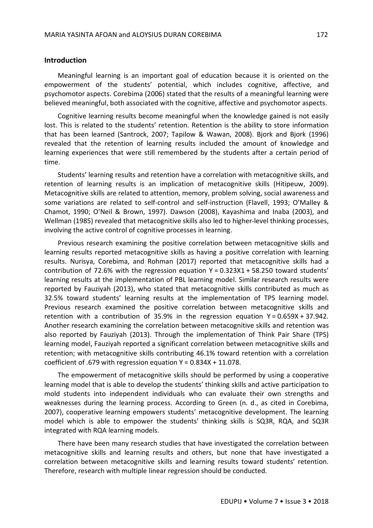#### **Introduction**

Meaningful learning is an important goal of education because it is oriented on the empowerment of the students' potential, which includes cognitive, affective, and psychomotor aspects. Corebima (2006) stated that the results of a meaningful learning were believed meaningful, both associated with the cognitive, affective and psychomotor aspects.

Cognitive learning results become meaningful when the knowledge gained is not easily lost. This is related to the students' retention. Retention is the ability to store information that has been learned (Santrock, 2007; Tapilow & Wawan, 2008). Bjork and Bjork (1996) revealed that the retention of learning results included the amount of knowledge and learning experiences that were still remembered by the students after a certain period of time.

Students' learning results and retention have a correlation with metacognitive skills, and retention of learning results is an implication of metacognitive skills (Hitipeuw, 2009). Metacognitive skills are related to attention, memory, problem solving, social awareness and some variations are related to self-control and self-instruction (Flavell, 1993; O'Malley & Chamot, 1990; O'Neil & Brown, 1997). Dawson (2008), Kayashima and Inaba (2003), and Wellman (1985) revealed that metacognitive skills also led to higher-level thinking processes, involving the active control of cognitive processes in learning.

Previous research examining the positive correlation between metacognitive skills and learning results reported metacognitive skills as having a positive correlation with learning results. Nurisya, Corebima, and Rohman (2017) reported that metacognitive skills had a contribution of 72.6% with the regression equation  $Y = 0.323X1 + 58.250$  toward students' learning results at the implementation of PBL learning model. Similar research results were reported by Fauziyah (2013), who stated that metacognitive skills contributed as much as 32.5% toward students' learning results at the implementation of TPS learning model. Previous research examined the positive correlation between metacognitive skills and retention with a contribution of 35.9% in the regression equation  $Y = 0.659X + 37.942$ . Another research examining the correlation between metacognitive skills and retention was also reported by Fauziyah (2013). Through the implementation of Think Pair Share (TPS) learning model, Fauziyah reported a significant correlation between metacognitive skills and retention; with metacognitive skills contributing 46.1% toward retention with a correlation coefficient of .679 with regression equation  $Y = 0.834X + 11.078$ .

The empowerment of metacognitive skills should be performed by using a cooperative learning model that is able to develop the students' thinking skills and active participation to mold students into independent individuals who can evaluate their own strengths and weaknesses during the learning process. According to Green (n. d., as cited in Corebima, 2007), cooperative learning empowers students' metacognitive development. The learning model which is able to empower the students' thinking skills is SQ3R, RQA, and SQ3R integrated with RQA learning models.

There have been many research studies that have investigated the correlation between metacognitive skills and learning results and others, but none that have investigated a correlation between metacognitive skills and learning results toward students' retention. Therefore, research with multiple linear regression should be conducted.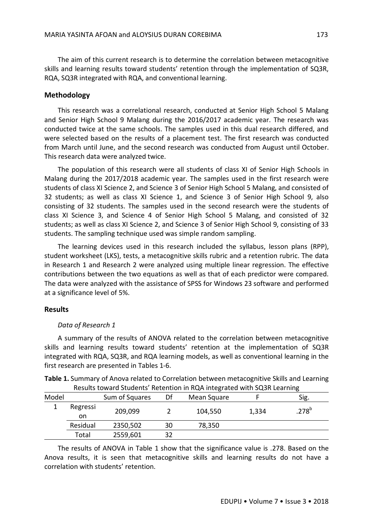The aim of this current research is to determine the correlation between metacognitive skills and learning results toward students' retention through the implementation of SQ3R, RQA, SQ3R integrated with RQA, and conventional learning.

## **Methodology**

This research was a correlational research, conducted at Senior High School 5 Malang and Senior High School 9 Malang during the 2016/2017 academic year. The research was conducted twice at the same schools. The samples used in this dual research differed, and were selected based on the results of a placement test. The first research was conducted from March until June, and the second research was conducted from August until October. This research data were analyzed twice.

The population of this research were all students of class XI of Senior High Schools in Malang during the 2017/2018 academic year. The samples used in the first research were students of class XI Science 2, and Science 3 of Senior High School 5 Malang, and consisted of 32 students; as well as class XI Science 1, and Science 3 of Senior High School 9, also consisting of 32 students. The samples used in the second research were the students of class XI Science 3, and Science 4 of Senior High School 5 Malang, and consisted of 32 students; as well as class XI Science 2, and Science 3 of Senior High School 9, consisting of 33 students. The sampling technique used was simple random sampling.

The learning devices used in this research included the syllabus, lesson plans (RPP), student worksheet (LKS), tests, a metacognitive skills rubric and a retention rubric. The data in Research 1 and Research 2 were analyzed using multiple linear regression. The effective contributions between the two equations as well as that of each predictor were compared. The data were analyzed with the assistance of SPSS for Windows 23 software and performed at a significance level of 5%.

### **Results**

#### *Data of Research 1*

A summary of the results of ANOVA related to the correlation between metacognitive skills and learning results toward students' retention at the implementation of SQ3R integrated with RQA, SQ3R, and RQA learning models, as well as conventional learning in the first research are presented in Tables 1-6.

**Table 1.** Summary of Anova related to Correlation between metacognitive Skills and Learning Results toward Students' Retention in RQA integrated with SQ3R Learning

| Model |          | Sum of Squares | Df | Mean Square |       | Sig.       |
|-------|----------|----------------|----|-------------|-------|------------|
|       | Regressi | 209,099        |    | 104,550     | 1,334 | $.278^{b}$ |
|       | on       |                |    |             |       |            |
|       | Residual | 2350,502       | 30 | 78,350      |       |            |
|       | Total    | 2559,601       | 32 |             |       |            |

The results of ANOVA in Table 1 show that the significance value is .278. Based on the Anova results, it is seen that metacognitive skills and learning results do not have a correlation with students' retention.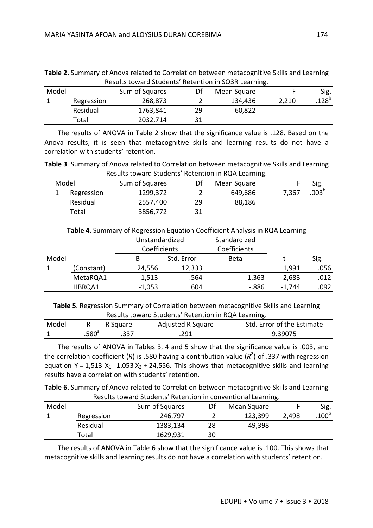| Model |            | Sum of Squares | Df | Mean Square |       | Sig.              |
|-------|------------|----------------|----|-------------|-------|-------------------|
|       | Regression | 268,873        |    | 134,436     | 2.210 | .128 <sup>b</sup> |
|       | Residual   | 1763,841       | 29 | 60,822      |       |                   |
|       | Total      | 2032,714       |    |             |       |                   |

**Table 2.** Summary of Anova related to Correlation between metacognitive Skills and Learning Results toward Students' Retention in SQ3R Learning.

The results of ANOVA in Table 2 show that the significance value is .128. Based on the Anova results, it is seen that metacognitive skills and learning results do not have a correlation with students' retention.

**Table 3**. Summary of Anova related to Correlation between metacognitive Skills and Learning Results toward Students' Retention in RQA Learning.

| Model      | Sum of Squares |    | Mean Square |       | Sig.           |
|------------|----------------|----|-------------|-------|----------------|
| Regression | 1299,372       |    | 649,686     | 7,367 | $.003^{\rm b}$ |
| Residual   | 2557,400       | 29 | 88,186      |       |                |
| Total      | 3856,772       |    |             |       |                |

|       |            |          | Unstandardized |       |          |      |
|-------|------------|----------|----------------|-------|----------|------|
|       |            |          | Coefficients   |       |          |      |
| Model |            | В        | Std. Error     | Beta  |          | Sig. |
|       | (Constant) | 24,556   | 12,333         |       | 1,991    | .056 |
|       | MetaRQA1   | 1,513    | .564           | 1,363 | 2,683    | .012 |
|       | HBRQA1     | $-1,053$ | .604           | -.886 | $-1.744$ | .092 |

**Table 5**. Regression Summary of Correlation between metacognitive Skills and Learning Results toward Students' Retention in RQA Learning.

| Model |                | R Square | Adjusted R Square | Std. Error of the Estimate |
|-------|----------------|----------|-------------------|----------------------------|
|       | $.580^{\rm a}$ | .337     | 701               | 9.39075                    |

The results of ANOVA in Tables 3, 4 and 5 show that the significance value is .003, and the correlation coefficient (R) is .580 having a contribution value (R<sup>2</sup>) of .337 with regression equation Y = 1,513 X<sub>1</sub> - 1,053 X<sub>2</sub> + 24,556. This shows that metacognitive skills and learning results have a correlation with students' retention.

**Table 6.** Summary of Anova related to Correlation between metacognitive Skills and Learning Results toward Students' Retention in conventional Learning.

| Model |            | Sum of Squares | Df | Mean Square |       | Sig.              |
|-------|------------|----------------|----|-------------|-------|-------------------|
|       | Regression | 246,797        |    | 123,399     | 2,498 | .100 <sup>b</sup> |
|       | Residual   | 1383,134       | 28 | 49,398      |       |                   |
|       | Total      | 1629,931       | 30 |             |       |                   |

The results of ANOVA in Table 6 show that the significance value is .100. This shows that metacognitive skills and learning results do not have a correlation with students' retention.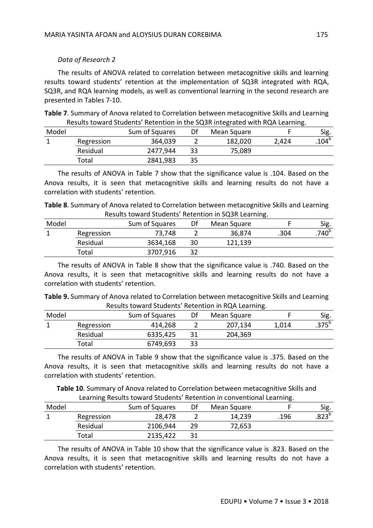## *Data of Research 2*

The results of ANOVA related to correlation between metacognitive skills and learning results toward students' retention at the implementation of SQ3R integrated with RQA, SQ3R, and RQA learning models, as well as conventional learning in the second research are presented in Tables 7-10.

**Table 7**. Summary of Anova related to Correlation between metacognitive Skills and Learning Results toward Students' Retention in the SQ3R integrated with RQA Learning.

| Model |            | Sum of Squares | Df | Mean Square |       | Sig.             |
|-------|------------|----------------|----|-------------|-------|------------------|
|       | Regression | 364,039        |    | 182,020     | 2,424 | 104 <sup>b</sup> |
|       | Residual   | 2477.944       | 33 | 75,089      |       |                  |
|       | Total      | 2841,983       | 35 |             |       |                  |
|       |            |                |    |             |       |                  |

The results of ANOVA in Table 7 show that the significance value is .104. Based on the Anova results, it is seen that metacognitive skills and learning results do not have a correlation with students' retention.

**Table 8**. Summary of Anova related to Correlation between metacognitive Skills and Learning Results toward Students' Retention in SQ3R Learning.

| Model |            | Sum of Squares | Df | Mean Square |      | Sig.             |
|-------|------------|----------------|----|-------------|------|------------------|
|       | Regression | 73,748         |    | 36,874      | .304 | 740 <sup>b</sup> |
|       | Residual   | 3634,168       | 30 | 121,139     |      |                  |
|       | Total      | 3707,916       |    |             |      |                  |

The results of ANOVA in Table 8 show that the significance value is .740. Based on the Anova results, it is seen that metacognitive skills and learning results do not have a correlation with students' retention.

**Table 9.** Summary of Anova related to Correlation between metacognitive Skills and Learning Results toward Students' Retention in RQA Learning.

| Model |            | Sum of Squares | Df | Mean Square |       | Sig.              |
|-------|------------|----------------|----|-------------|-------|-------------------|
|       | Regression | 414,268        |    | 207,134     | 1,014 | .375 <sup>b</sup> |
|       | Residual   | 6335,425       |    | 204,369     |       |                   |
|       | Total      | 6749,693       | 33 |             |       |                   |
|       |            |                |    |             |       |                   |

The results of ANOVA in Table 9 show that the significance value is .375. Based on the Anova results, it is seen that metacognitive skills and learning results do not have a correlation with students' retention.

**Table 10**. Summary of Anova related to Correlation between metacognitive Skills and Learning Results toward Students' Retention in conventional Learning.

|       |            |                |    |             | .    |            |
|-------|------------|----------------|----|-------------|------|------------|
| Model |            | Sum of Squares | Df | Mean Square |      | Sig.       |
|       | Regression | 28,478         |    | 14,239      | .196 | $.823^{b}$ |
|       | Residual   | 2106,944       | 29 | 72,653      |      |            |
|       | Total      | 2135,422       |    |             |      |            |
|       |            |                |    |             |      |            |

The results of ANOVA in Table 10 show that the significance value is .823. Based on the Anova results, it is seen that metacognitive skills and learning results do not have a correlation with students' retention.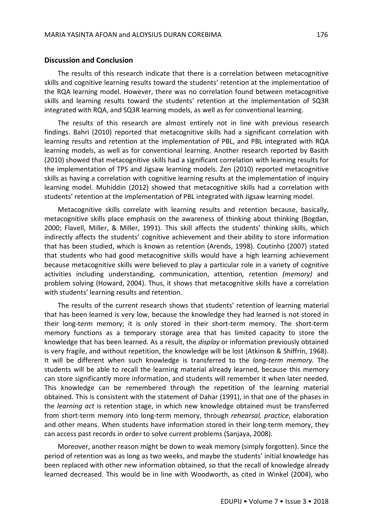#### **Discussion and Conclusion**

The results of this research indicate that there is a correlation between metacognitive skills and cognitive learning results toward the students' retention at the implementation of the RQA learning model. However, there was no correlation found between metacognitive skills and learning results toward the students' retention at the implementation of SQ3R integrated with RQA, and SQ3R learning models, as well as for conventional learning.

The results of this research are almost entirely not in line with previous research findings. Bahri (2010) reported that metacognitive skills had a significant correlation with learning results and retention at the implementation of PBL, and PBL integrated with RQA learning models, as well as for conventional learning. Another research reported by Basith (2010) showed that metacognitive skills had a significant correlation with learning results for the implementation of TPS and Jigsaw learning models. Zen (2010) reported metacognitive skills as having a correlation with cognitive learning results at the implementation of inquiry learning model. Muhiddin (2012) showed that metacognitive skills had a correlation with students' retention at the implementation of PBL integrated with Jigsaw learning model.

Metacognitive skills correlate with learning results and retention because, basically, metacognitive skills place emphasis on the awareness of thinking about thinking (Bogdan, 2000; Flavell, Miller, & Miller, 1991). This skill affects the students' thinking skills, which indirectly affects the students' cognitive achievement and their ability to store information that has been studied, which is known as retention (Arends, 1998). Coutinho (2007) stated that students who had good metacognitive skills would have a high learning achievement because metacognitive skills were believed to play a particular role in a variety of cognitive activities including understanding, communication, attention*,* retention *(memory)* and problem solving (Howard, 2004). Thus, it shows that metacognitive skills have a correlation with students' learning results and retention.

The results of the current research shows that students' retention of learning material that has been learned is very low, because the knowledge they had learned is not stored in their long-term memory; it is only stored in their short-term memory. The short-term memory functions as a temporary storage area that has limited capacity to store the knowledge that has been learned. As a result, the *display* or information previously obtained is very fragile, and without repetition, the knowledge will be lost (Atkinson & Shiffrin, 1968). It will be different when such knowledge is transferred to the *long-term memory.* The students will be able to recall the learning material already learned, because this memory can store significantly more information, and students will remember it when later needed. This knowledge can be remembered through the repetition of the learning material obtained. This is consistent with the statement of Dahar (1991), in that one of the phases in the *learning act* is retention stage, in which new knowledge obtained must be transferred from short-term memory into long-term memory, through *rehearsal, practice*, elaboration and other means. When students have information stored in their long-term memory, they can access past records in order to solve current problems (Sanjaya, 2008).

Moreover, another reason might be down to weak memory (simply forgotten). Since the period of retention was as long as two weeks, and maybe the students' initial knowledge has been replaced with other new information obtained, so that the recall of knowledge already learned decreased. This would be in line with Woodworth, as cited in Winkel (2004), who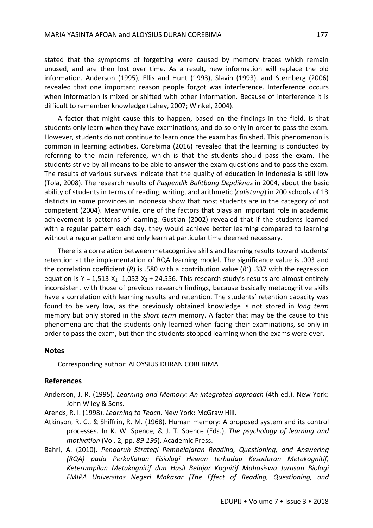stated that the symptoms of forgetting were caused by memory traces which remain unused, and are then lost over time. As a result, new information will replace the old information. Anderson (1995), Ellis and Hunt (1993), Slavin (1993), and Sternberg (2006) revealed that one important reason people forgot was interference. Interference occurs when information is mixed or shifted with other information. Because of interference it is difficult to remember knowledge (Lahey, 2007; Winkel, 2004).

A factor that might cause this to happen, based on the findings in the field, is that students only learn when they have examinations, and do so only in order to pass the exam. However, students do not continue to learn once the exam has finished. This phenomenon is common in learning activities. Corebima (2016) revealed that the learning is conducted by referring to the main reference, which is that the students should pass the exam. The students strive by all means to be able to answer the exam questions and to pass the exam. The results of various surveys indicate that the quality of education in Indonesia is still low (Tola, 2008). The research results of *Puspendik Balitbang Depdiknas* in 2004, about the basic ability of students in terms of reading, writing, and arithmetic (*calistung*) in 200 schools of 13 districts in some provinces in Indonesia show that most students are in the category of not competent (2004). Meanwhile, one of the factors that plays an important role in academic achievement is patterns of learning. Gustian (2002) revealed that if the students learned with a regular pattern each day, they would achieve better learning compared to learning without a regular pattern and only learn at particular time deemed necessary.

There is a correlation between metacognitive skills and learning results toward students' retention at the implementation of RQA learning model. The significance value is .003 and the correlation coefficient (R) is .580 with a contribution value (R<sup>2</sup>) .337 with the regression equation is Y = 1,513  $X_1$ - 1,053  $X_2$  + 24,556. This research study's results are almost entirely inconsistent with those of previous research findings, because basically metacognitive skills have a correlation with learning results and retention. The students' retention capacity was found to be very low, as the previously obtained knowledge is not stored in *long term*  memory but only stored in the *short term* memory. A factor that may be the cause to this phenomena are that the students only learned when facing their examinations, so only in order to pass the exam, but then the students stopped learning when the exams were over.

### **Notes**

Corresponding author: ALOYSIUS DURAN COREBIMA

## **References**

- Anderson, J. R. (1995). *Learning and Memory: An integrated approach* (4th ed.). New York: John Wiley & Sons.
- Arends, R. I. (1998). *Learning to Teach*. New York: McGraw Hill.
- Atkinson, R. C., & Shiffrin, R. M. (1968). Human memory: A proposed system and its control processes. In K. W. Spence, & J. T. Spence (Eds.), *The psychology of learning and motivation* (Vol. 2, pp. *89-195*). Academic Press.
- Bahri, A. (2010). *Pengaruh Strategi Pembelajaran Reading, Questioning, and Answering (RQA) pada Perkuliahan Fisiologi Hewan terhadap Kesadaran Metakognitif, Keterampilan Metakognitif dan Hasil Belajar Kognitif Mahasiswa Jurusan Biologi FMIPA Universitas Negeri Makasar [The Effect of Reading, Questioning, and*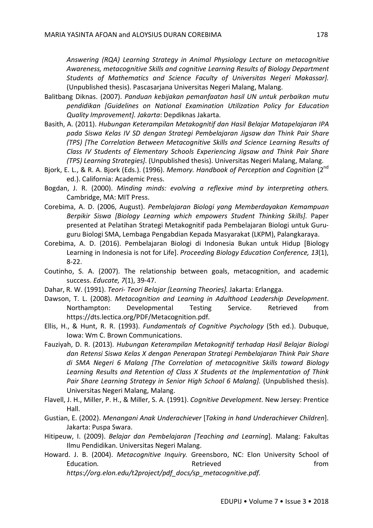*Answering (RQA) Learning Strategy in Animal Physiology Lecture on metacognitive Awareness, metacognitive Skills and cognitive Learning Results of Biology Department Students of Mathematics and Science Faculty of Universitas Negeri Makassar].*  (Unpublished thesis). Pascasarjana Universitas Negeri Malang, Malang.

- Balitbang Diknas. (2007). *Panduan kebijakan pemanfaatan hasil UN untuk perbaikan mutu pendidikan [Guidelines on National Examination Utilization Policy for Education Quality Improvement]. Jakarta*: Depdiknas Jakarta.
- Basith, A. (2011). *Hubungan Keterampilan Metakognitif dan Hasil Belajar Matapelajaran IPA pada Siswa Kelas IV SD dengan Strategi Pembelajaran Jigsaw dan Think Pair Share (TPS) [The Correlation Between Metacognitive Skills and Science Learning Results of Class IV Students of Elementary Schools Experiencing Jigsaw and Think Pair Share (TPS) Learning Strategies]*. (Unpublished thesis). Universitas Negeri Malang, Malang.
- Bjork, E. L., & R. A. Bjork (Eds.). (1996). Memory. Handbook of Perception and Cognition (2<sup>nd</sup> ed.). California: Academic Press.
- Bogdan, J. R. (2000). *Minding minds: evolving a reflexive mind by interpreting others.*  Cambridge, MA: MIT Press.
- Corebima, A. D. (2006, August). *Pembelajaran Biologi yang Memberdayakan Kemampuan Berpikir Siswa [Biology Learning which empowers Student Thinking Skills]*. Paper presented at Pelatihan Strategi Metakognitif pada Pembelajaran Biologi untuk Guruguru Biologi SMA, Lembaga Pengabdian Kepada Masyarakat (LKPM), Palangkaraya.
- Corebima, A. D. (2016). Pembelajaran Biologi di Indonesia Bukan untuk Hidup [Biology Learning in Indonesia is not for Life]. *Proceeding Biology Education Conference, 13*(1), 8-22.
- Coutinho, S. A. (2007). The relationship between goals, metacognition, and academic success. *Educate, 7*(1), 39-47.
- Dahar, R. W. (1991). *Teori- Teori Belajar [Learning Theories].* Jakarta: Erlangga.
- Dawson, T. L. (2008). *Metacognition and Learning in Adulthood Leadership Development*. Northampton: Developmental Testing Service. Retrieved from https://dts.lectica.org/PDF/Metacognition.pdf.
- Ellis, H., & Hunt, R. R. (1993). *Fundamentals of Cognitive Psychology* (5th ed.). Dubuque, Iowa: Wm C. Brown Communications.
- Fauziyah, D. R. (2013). *Hubungan Keterampilan Metakognitif terhadap Hasil Belajar Biologi dan Retensi Siswa Kelas X dengan Penerapan Strategi Pembelajaran Think Pair Share di SMA Negeri 6 Malang [The Correlation of metacognitive Skills toward Biology Learning Results and Retention of Class X Students at the Implementation of Think Pair Share Learning Strategy in Senior High School 6 Malang].* (Unpublished thesis). Universitas Negeri Malang, Malang.
- Flavell, J. H., Miller, P. H., & Miller, S. A. (1991). *Cognitive Development*. New Jersey: Prentice Hall.
- Gustian, E. (2002). *Menangani Anak Underachiever* [*Taking in hand Underachiever Children*]. Jakarta: Puspa Swara.
- Hitipeuw, I. (2009). *Belajar dan Pembelajaran [Teaching and Learning*]. Malang: Fakultas Ilmu Pendidikan. Universitas Negeri Malang.
- Howard. J. B. (2004). *Metacognitive Inquiry.* Greensboro, NC: Elon University School of Education. **Example 20 and 20 and 20 and 20 and 20 and 20 and 20 and 20 and 20 and 20 and 20 and 20 and 20 and 20 and 20 and 20 and 20 and 20 and 20 and 20 and 20 and 20 and 20 and 20 and 20 and 20 and 20 and 20 and 20 and**

*https://org.elon.edu/t2project/pdf\_docs/sp\_metacognitive.pdf.*